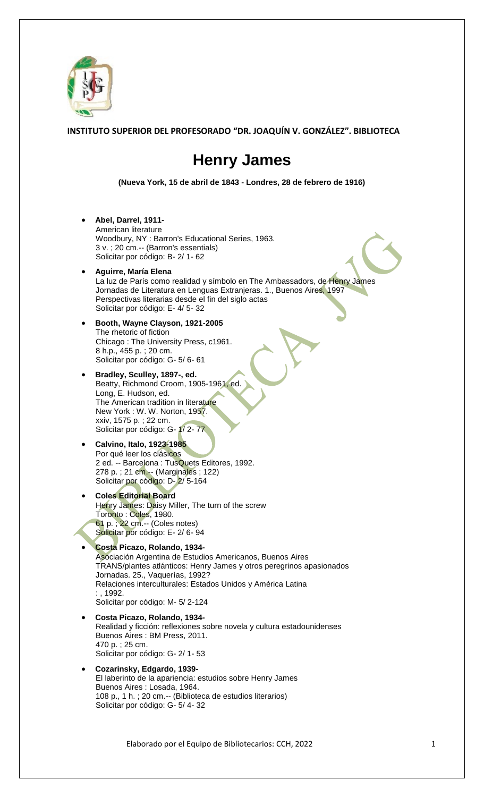

**INSTITUTO SUPERIOR DEL PROFESORADO "DR. JOAQUÍN V. GONZÁLEZ". BIBLIOTECA**

## **Henry James**

**(Nueva York, 15 de abril de 1843 - Londres, 28 de febrero de 1916)**

**Abel, Darrel, 1911-**

American literature Woodbury, NY : Barron's Educational Series, 1963. 3 v. ; 20 cm.-- (Barron's essentials) Solicitar por código: B- 2/ 1- 62

- **Aguirre, María Elena** La luz de París como realidad y símbolo en The Ambassadors, de Henry James Jornadas de Literatura en Lenguas Extranjeras. 1., Buenos Aires, 1997 Perspectivas literarias desde el fin del siglo actas Solicitar por código: E- 4/ 5- 32
- **Booth, Wayne Clayson, 1921-2005** The rhetoric of fiction Chicago : The University Press, c1961. 8 h.p., 455 p. ; 20 cm. Solicitar por código: G- 5/ 6- 61
- **Bradley, Sculley, 1897-, ed.** Beatty, Richmond Croom, 1905-1961, ed. Long, E. Hudson, ed. The American tradition in literature New York : W. W. Norton, 1957. xxiv, 1575 p. ; 22 cm. Solicitar por código: G-1/2-77

## **Calvino, Italo, 1923-1985** Por qué leer los clásicos 2 ed. -- Barcelona : TusQuets Editores, 1992. 278 p. ; 21 cm.-- (Marginales ; 122) Solicitar por código: D- 2/ 5-164

- **Coles Editorial Board** Henry James: Daisy Miller, The turn of the screw Toronto : Coles, 1980. 61 p. ; 22 cm.-- (Coles notes) Solicitar por código: E- 2/6-94
	- **Costa Picazo, Rolando, 1934-** Asociación Argentina de Estudios Americanos, Buenos Aires TRANS/plantes atlánticos: Henry James y otros peregrinos apasionados Jornadas. 25., Vaquerías, 1992? Relaciones interculturales: Estados Unidos y América Latina : , 1992. Solicitar por código: M- 5/ 2-124
- **Costa Picazo, Rolando, 1934-** Realidad y ficción: reflexiones sobre novela y cultura estadounidenses Buenos Aires : BM Press, 2011. 470 p. ; 25 cm. Solicitar por código: G- 2/ 1- 53
- **Cozarinsky, Edgardo, 1939-** El laberinto de la apariencia: estudios sobre Henry James Buenos Aires : Losada, 1964. 108 p., 1 h. ; 20 cm.-- (Biblioteca de estudios literarios) Solicitar por código: G- 5/ 4- 32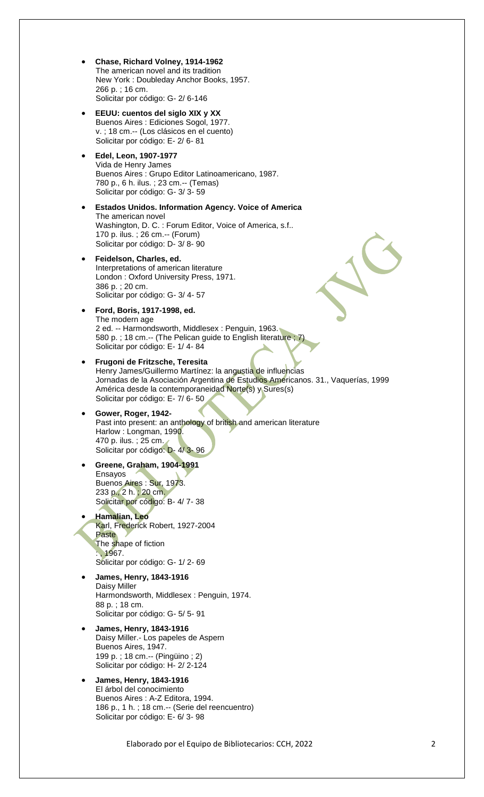- **Chase, Richard Volney, 1914-1962** The american novel and its tradition New York : Doubleday Anchor Books, 1957. 266 p. ; 16 cm. Solicitar por código: G- 2/ 6-146
- **EEUU: cuentos del siglo XIX y XX** Buenos Aires : Ediciones Sogol, 1977. v. ; 18 cm.-- (Los clásicos en el cuento) Solicitar por código: E- 2/ 6- 81
- **Edel, Leon, 1907-1977** Vida de Henry James Buenos Aires : Grupo Editor Latinoamericano, 1987. 780 p., 6 h. ilus. ; 23 cm.-- (Temas) Solicitar por código: G- 3/ 3- 59
- **Estados Unidos. Information Agency. Voice of America** The american novel Washington, D. C. : Forum Editor, Voice of America, s.f.. 170 p. ilus. ; 26 cm.-- (Forum) Solicitar por código: D- 3/ 8- 90
- **Feidelson, Charles, ed.**  Interpretations of american literature London : Oxford University Press, 1971. 386 p. ; 20 cm. Solicitar por código: G- 3/ 4- 57
- **Ford, Boris, 1917-1998, ed.** The modern age 2 ed. -- Harmondsworth, Middlesex : Penguin, 1963. 580 p. ; 18 cm.-- (The Pelican guide to English literature ; 7) Solicitar por código: E- 1/ 4- 84
- **Frugoni de Fritzsche, Teresita** Henry James/Guillermo Martínez: la angustia de influencias Jornadas de la Asociación Argentina de Estudios Americanos. 31., Vaquerías, 1999 América desde la contemporaneidad Norte(s) y Sures(s) Solicitar por código: E- 7/ 6- 50
- **Gower, Roger, 1942-** Past into present: an anthology of british and american literature Harlow : Longman, 1990. 470 p. ilus. ; 25 cm. Solicitar por código: D- 4/ 3- 96
- **Greene, Graham, 1904-1991** Ensayos Buenos Aires : Sur, 1973. 233 p., 2 h. ; 20 cm. Solicitar por código: B- 4/ 7- 38
- **Hamalian, Leo** Karl, Frederick Robert, 1927-2004 Paste The shape of fiction : , 1967. Solicitar por código: G- 1/ 2- 69
- **James, Henry, 1843-1916** Daisy Miller Harmondsworth, Middlesex : Penguin, 1974. 88 p. ; 18 cm. Solicitar por código: G- 5/ 5- 91
- **James, Henry, 1843-1916** Daisy Miller.- Los papeles de Aspern Buenos Aires, 1947. 199 p. ; 18 cm.-- (Pingüino ; 2) Solicitar por código: H- 2/ 2-124
- **James, Henry, 1843-1916** El árbol del conocimiento Buenos Aires : A-Z Editora, 1994. 186 p., 1 h. ; 18 cm.-- (Serie del reencuentro) Solicitar por código: E- 6/ 3- 98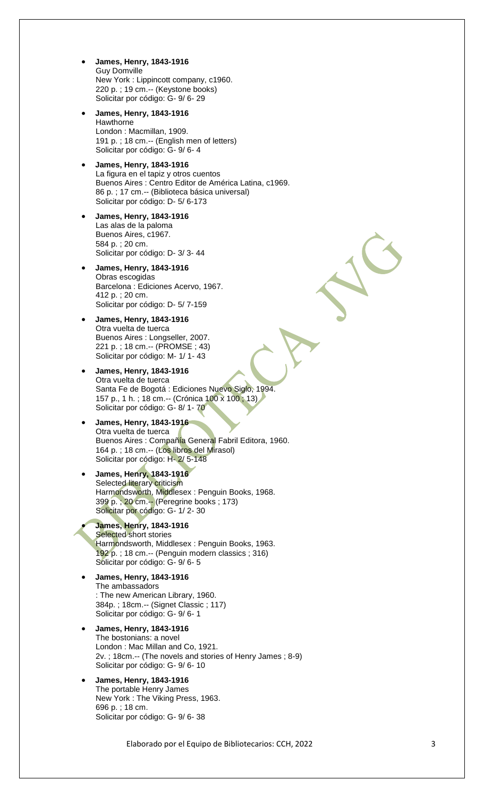- **James, Henry, 1843 -1916** Guy Domville New York : Lippincott company, c1960. 220 p. ; 19 cm.-- (Keystone books) Solicitar por código: G- 9/6-29
- **James, Henry, 1843 -1916** Hawthorne London : Macmillan, 1909. 191 p. ; 18 cm.-- (English men of letters) Solicitar por código: G- 9/6-4
- **James, Henry, 1843 -1916** La figura en el tapiz y otros cuentos Buenos Aires : Centro Editor de América Latina, c1969. 86 p. ; 17 cm.-- (Biblioteca básica universal) Solicitar por código: D-5/6-173
- **James, Henry, 1843 -1916** Las alas de la paloma Buenos Aires, c1967. 584 p. ; 20 cm. Solicitar por código: D-3/3-44
- **James, Henry, 1843 -1916** Obras escogidas Barcelona : Ediciones Acervo, 1967. 412 p. ; 20 cm. Solicitar por código: D-5/7-159
- **James, Henry, 1843 -1916** Otra vuelta de tuerca Buenos Aires : Longseller, 2007. 221 p. ; 18 cm.-- (PROMSE ; 43) Solicitar por código: M- 1/ 1- 43
- **James, Henry, 1843 -1916** Otra vuelta de tuerca Santa Fe de Bogotá : Ediciones Nuevo Siglo, 1994. 157 p., 1 h. ; 18 cm.-- (Crónica 100 x 100 ; 13) Solicitar por código: G-8/1-70

## **James, Henry, 1843 -1916** Otra vuelta de tuerca Buenos Aires : Compañía General Fabril Editora, 1960. 164 p. ; 18 cm.-- (Los libros del Mirasol) Solicitar por código: H-2/5-148

- **James, Henry, 1843 -1916** Selected literary criticism Harmondsworth, Middlesex : Penguin Books, 1968. 399 p. ; 20 cm.-- (Peregrine books ; 173) Solicitar por código: G- 1/ 2- 30
- **James, Henry, 1843-1916** Selected short stories Harmondsworth, Middlesex: Penguin Books, 1963. 192 p. ; 18 cm.-- (Penguin modern classics ; 316) Solicitar por código: G- 9/6-5
- **James, Henry, 1843 -1916** The ambassadors : The new American Library, 1960. 384p. ; 18cm.-- (Signet Classic ; 117) Solicitar por código: G- 9/6-1
- **James, Henry, 1843 -1916** The bostonians: a novel London : Mac Millan and Co, 1921. 2v. ; 18cm.-- (The novels and stories of Henry James ; 8 -9) Solicitar por código: G- 9/6-10
- **James, Henry, 1843 -1916** The portable Henry James New York : The Viking Press, 1963. 696 p. ; 18 cm. Solicitar por código: G- 9/6-38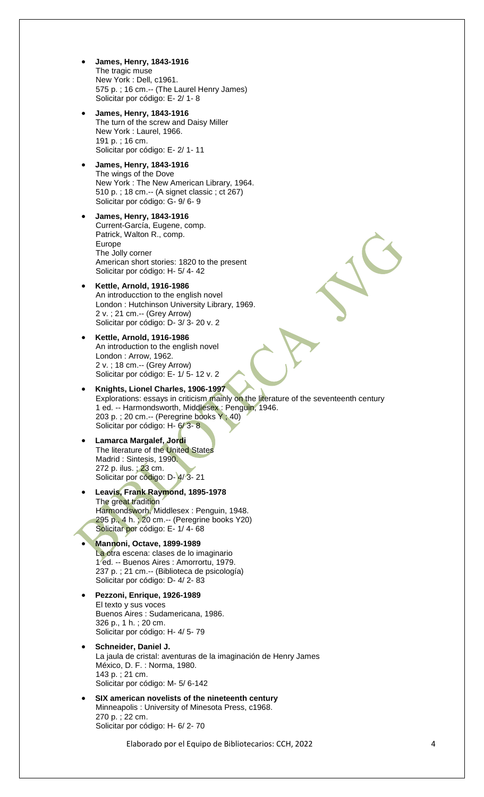- **James, Henry, 1843-1916** The tragic muse New York : Dell, c1961. 575 p. ; 16 cm.-- (The Laurel Henry James) Solicitar por código: E- 2/ 1- 8
- **James, Henry, 1843-1916** The turn of the screw and Daisy Miller New York : Laurel, 1966. 191 p. ; 16 cm. Solicitar por código: E- 2/ 1- 11
- **James, Henry, 1843-1916** The wings of the Dove New York : The New American Library, 1964. 510 p. ; 18 cm.-- (A signet classic ; ct 267) Solicitar por código: G- 9/ 6- 9
- **James, Henry, 1843-1916** Current-García, Eugene, comp. Patrick, Walton R., comp. Europe The Jolly corner American short stories: 1820 to the present Solicitar por código: H- 5/ 4- 42
- **Kettle, Arnold, 1916-1986** An introducction to the english novel London : Hutchinson University Library, 1969. 2 v. ; 21 cm.-- (Grey Arrow) Solicitar por código: D- 3/ 3- 20 v. 2
- **Kettle, Arnold, 1916-1986** An introduction to the english novel London : Arrow, 1962. 2 v. ; 18 cm.-- (Grey Arrow) Solicitar por código: E- 1/ 5- 12 v. 2
- **Knights, Lionel Charles, 1906-1997** Explorations: essays in criticism mainly on the literature of the seventeenth century 1 ed. -- Harmondsworth, Middlesex : Penguin, 1946. 203 p. ; 20 cm.-- (Peregrine books Y ; 40) Solicitar por código: H- 6/3-8
- **Lamarca Margalef, Jordi** The literature of the United States Madrid : Sintesis, 1990. 272 p. ilus. ; 23 cm. Solicitar por código: D- 4/ 3- 21
- **Leavis, Frank Raymond, 1895-1978** The great tradition Harmondsworh, Middlesex : Penguin, 1948. 295 p., 4 h. ; 20 cm.-- (Peregrine books Y20) Solicitar por código: E- 1/ 4- 68
- **Mannoni, Octave, 1899-1989** La otra escena: clases de lo imaginario 1 ed. -- Buenos Aires : Amorrortu, 1979. 237 p. ; 21 cm.-- (Biblioteca de psicología) Solicitar por código: D- 4/ 2- 83
- **Pezzoni, Enrique, 1926-1989** El texto y sus voces Buenos Aires : Sudamericana, 1986. 326 p., 1 h. ; 20 cm. Solicitar por código: H- 4/ 5- 79
- **Schneider, Daniel J.** La jaula de cristal: aventuras de la imaginación de Henry James México, D. F. : Norma, 1980. 143 p. ; 21 cm. Solicitar por código: M- 5/ 6-142
- **SIX american novelists of the nineteenth century** Minneapolis : University of Minesota Press, c1968. 270 p. ; 22 cm. Solicitar por código: H- 6/ 2- 70